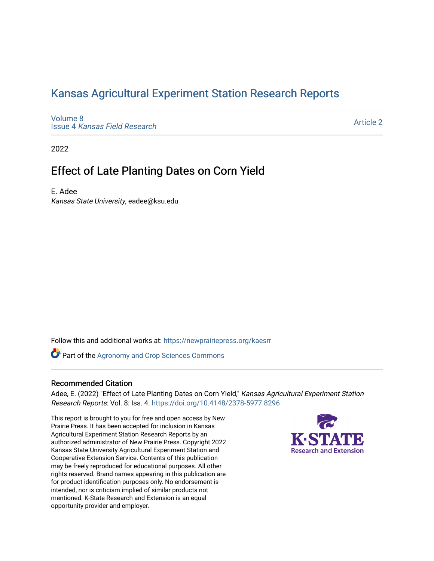## [Kansas Agricultural Experiment Station Research Reports](https://newprairiepress.org/kaesrr)

[Volume 8](https://newprairiepress.org/kaesrr/vol8) Issue 4 [Kansas Field Research](https://newprairiepress.org/kaesrr/vol8/iss4) 

[Article 2](https://newprairiepress.org/kaesrr/vol8/iss4/2) 

2022

## Effect of Late Planting Dates on Corn Yield

E. Adee Kansas State University, eadee@ksu.edu

Follow this and additional works at: [https://newprairiepress.org/kaesrr](https://newprairiepress.org/kaesrr?utm_source=newprairiepress.org%2Fkaesrr%2Fvol8%2Fiss4%2F2&utm_medium=PDF&utm_campaign=PDFCoverPages) 

**Part of the Agronomy and Crop Sciences Commons** 

#### Recommended Citation

Adee, E. (2022) "Effect of Late Planting Dates on Corn Yield," Kansas Agricultural Experiment Station Research Reports: Vol. 8: Iss. 4.<https://doi.org/10.4148/2378-5977.8296>

This report is brought to you for free and open access by New Prairie Press. It has been accepted for inclusion in Kansas Agricultural Experiment Station Research Reports by an authorized administrator of New Prairie Press. Copyright 2022 Kansas State University Agricultural Experiment Station and Cooperative Extension Service. Contents of this publication may be freely reproduced for educational purposes. All other rights reserved. Brand names appearing in this publication are for product identification purposes only. No endorsement is intended, nor is criticism implied of similar products not mentioned. K-State Research and Extension is an equal opportunity provider and employer.

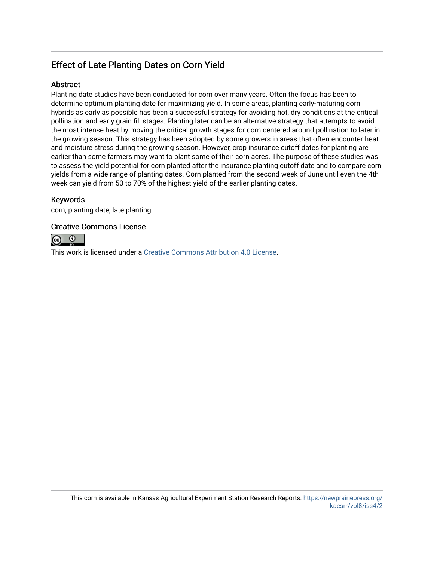## Effect of Late Planting Dates on Corn Yield

## Abstract

Planting date studies have been conducted for corn over many years. Often the focus has been to determine optimum planting date for maximizing yield. In some areas, planting early-maturing corn hybrids as early as possible has been a successful strategy for avoiding hot, dry conditions at the critical pollination and early grain fill stages. Planting later can be an alternative strategy that attempts to avoid the most intense heat by moving the critical growth stages for corn centered around pollination to later in the growing season. This strategy has been adopted by some growers in areas that often encounter heat and moisture stress during the growing season. However, crop insurance cutoff dates for planting are earlier than some farmers may want to plant some of their corn acres. The purpose of these studies was to assess the yield potential for corn planted after the insurance planting cutoff date and to compare corn yields from a wide range of planting dates. Corn planted from the second week of June until even the 4th week can yield from 50 to 70% of the highest yield of the earlier planting dates.

## Keywords

corn, planting date, late planting

## Creative Commons License



This work is licensed under a [Creative Commons Attribution 4.0 License](https://creativecommons.org/licenses/by/4.0/).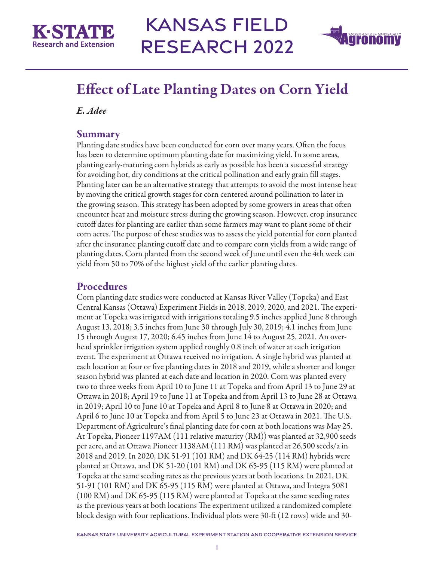



## Effect of Late Planting Dates on Corn Yield

*E. Adee* 

## **Summary**

Planting date studies have been conducted for corn over many years. Often the focus has been to determine optimum planting date for maximizing yield. In some areas, planting early-maturing corn hybrids as early as possible has been a successful strategy for avoiding hot, dry conditions at the critical pollination and early grain fill stages. Planting later can be an alternative strategy that attempts to avoid the most intense heat by moving the critical growth stages for corn centered around pollination to later in the growing season. This strategy has been adopted by some growers in areas that often encounter heat and moisture stress during the growing season. However, crop insurance cutoff dates for planting are earlier than some farmers may want to plant some of their corn acres. The purpose of these studies was to assess the yield potential for corn planted after the insurance planting cutoff date and to compare corn yields from a wide range of planting dates. Corn planted from the second week of June until even the 4th week can yield from 50 to 70% of the highest yield of the earlier planting dates.

## Procedures

Corn planting date studies were conducted at Kansas River Valley (Topeka) and East Central Kansas (Ottawa) Experiment Fields in 2018, 2019, 2020, and 2021. The experiment at Topeka was irrigated with irrigations totaling 9.5 inches applied June 8 through August 13, 2018; 3.5 inches from June 30 through July 30, 2019; 4.1 inches from June 15 through August 17, 2020; 6.45 inches from June 14 to August 25, 2021. An overhead sprinkler irrigation system applied roughly 0.8 inch of water at each irrigation event. The experiment at Ottawa received no irrigation. A single hybrid was planted at each location at four or five planting dates in 2018 and 2019, while a shorter and longer season hybrid was planted at each date and location in 2020. Corn was planted every two to three weeks from April 10 to June 11 at Topeka and from April 13 to June 29 at Ottawa in 2018; April 19 to June 11 at Topeka and from April 13 to June 28 at Ottawa in 2019; April 10 to June 10 at Topeka and April 8 to June 8 at Ottawa in 2020; and April 6 to June 10 at Topeka and from April 5 to June 23 at Ottawa in 2021. The U.S. Department of Agriculture's final planting date for corn at both locations was May 25. At Topeka, Pioneer 1197AM (111 relative maturity (RM)) was planted at 32,900 seeds per acre, and at Ottawa Pioneer 1138AM (111 RM) was planted at 26,500 seeds/a in 2018 and 2019. In 2020, DK 51-91 (101 RM) and DK 64-25 (114 RM) hybrids were planted at Ottawa, and DK 51-20 (101 RM) and DK 65-95 (115 RM) were planted at Topeka at the same seeding rates as the previous years at both locations. In 2021, DK 51-91 (101 RM) and DK 65-95 (115 RM) were planted at Ottawa, and Integra 5081 (100 RM) and DK 65-95 (115 RM) were planted at Topeka at the same seeding rates as the previous years at both locations The experiment utilized a randomized complete block design with four replications. Individual plots were 30-ft (12 rows) wide and 30-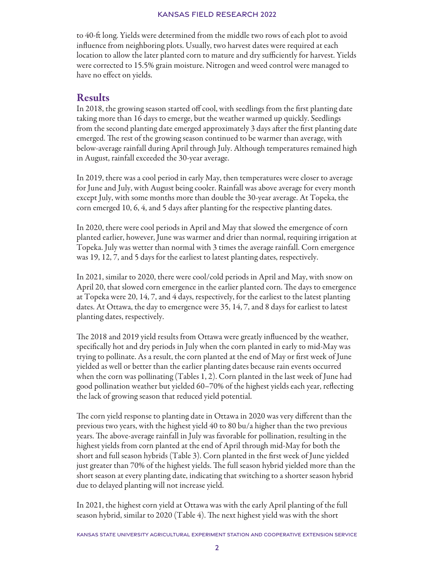to 40-ft long. Yields were determined from the middle two rows of each plot to avoid influence from neighboring plots. Usually, two harvest dates were required at each location to allow the later planted corn to mature and dry sufficiently for harvest. Yields were corrected to 15.5% grain moisture. Nitrogen and weed control were managed to have no effect on yields.

## Results

In 2018, the growing season started off cool, with seedlings from the first planting date taking more than 16 days to emerge, but the weather warmed up quickly. Seedlings from the second planting date emerged approximately 3 days after the first planting date emerged. The rest of the growing season continued to be warmer than average, with below-average rainfall during April through July. Although temperatures remained high in August, rainfall exceeded the 30-year average.

In 2019, there was a cool period in early May, then temperatures were closer to average for June and July, with August being cooler. Rainfall was above average for every month except July, with some months more than double the 30-year average. At Topeka, the corn emerged 10, 6, 4, and 5 days after planting for the respective planting dates.

In 2020, there were cool periods in April and May that slowed the emergence of corn planted earlier, however, June was warmer and drier than normal, requiring irrigation at Topeka. July was wetter than normal with 3 times the average rainfall. Corn emergence was 19, 12, 7, and 5 days for the earliest to latest planting dates, respectively.

In 2021, similar to 2020, there were cool/cold periods in April and May, with snow on April 20, that slowed corn emergence in the earlier planted corn. The days to emergence at Topeka were 20, 14, 7, and 4 days, respectively, for the earliest to the latest planting dates. At Ottawa, the day to emergence were 35, 14, 7, and 8 days for earliest to latest planting dates, respectively.

The 2018 and 2019 yield results from Ottawa were greatly influenced by the weather, specifically hot and dry periods in July when the corn planted in early to mid-May was trying to pollinate. As a result, the corn planted at the end of May or first week of June yielded as well or better than the earlier planting dates because rain events occurred when the corn was pollinating (Tables 1, 2). Corn planted in the last week of June had good pollination weather but yielded 60–70% of the highest yields each year, reflecting the lack of growing season that reduced yield potential.

The corn yield response to planting date in Ottawa in 2020 was very different than the previous two years, with the highest yield 40 to 80 bu/a higher than the two previous years. The above-average rainfall in July was favorable for pollination, resulting in the highest yields from corn planted at the end of April through mid-May for both the short and full season hybrids (Table 3). Corn planted in the first week of June yielded just greater than 70% of the highest yields. The full season hybrid yielded more than the short season at every planting date, indicating that switching to a shorter season hybrid due to delayed planting will not increase yield.

In 2021, the highest corn yield at Ottawa was with the early April planting of the full season hybrid, similar to 2020 (Table 4). The next highest yield was with the short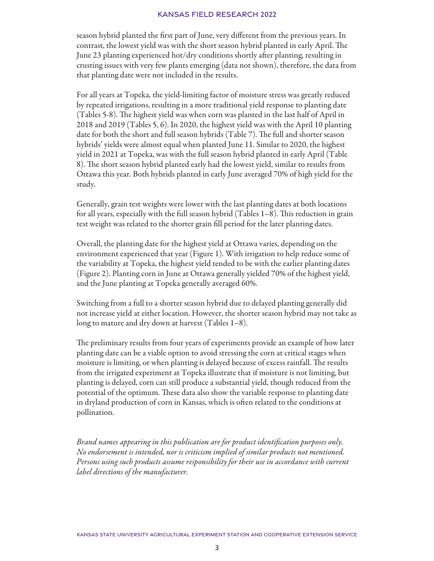season hybrid planted the first part of June, very different from the previous years. In contrast, the lowest yield was with the short season hybrid planted in early April. The June 23 planting experienced hot/dry conditions shortly after planting, resulting in crusting issues with very few plants emerging (data not shown), therefore, the data from that planting date were not included in the results.

For all years at Topeka, the yield-limiting factor of moisture stress was greatly reduced by repeated irrigations, resulting in a more traditional yield response to planting date (Tables 5-8). The highest yield was when corn was planted in the last half of April in 2018 and 2019 (Tables 5, 6). In 2020, the highest yield was with the April 10 planting date for both the short and full season hybrids (Table 7). The full and shorter season hybrids' yields were almost equal when planted June 11. Similar to 2020, the highest yield in 2021 at Topeka, was with the full season hybrid planted in early April (Table 8). The short season hybrid planted early had the lowest yield, similar to results from Ottawa this year. Both hybrids planted in early June averaged 70% of high yield for the study.

Generally, grain test weights were lower with the last planting dates at both locations for all years, especially with the full season hybrid (Tables 1–8). This reduction in grain test weight was related to the shorter grain fill period for the later planting dates.

Overall, the planting date for the highest yield at Ottawa varies, depending on the environment experienced that year (Figure 1). With irrigation to help reduce some of the variability at Topeka, the highest yield tended to be with the earlier planting dates (Figure 2). Planting corn in June at Ottawa generally yielded 70% of the highest yield, and the June planting at Topeka generally averaged 60%.

Switching from a full to a shorter season hybrid due to delayed planting generally did not increase yield at either location. However, the shorter season hybrid may not take as long to mature and dry down at harvest (Tables 1–8).

The preliminary results from four years of experiments provide an example of how later planting date can be a viable option to avoid stressing the corn at critical stages when moisture is limiting, or when planting is delayed because of excess rainfall. The results from the irrigated experiment at Topeka illustrate that if moisture is not limiting, but planting is delayed, corn can still produce a substantial yield, though reduced from the potential of the optimum. These data also show the variable response to planting date in dryland production of corn in Kansas, which is often related to the conditions at pollination.

*Brand names appearing in this publication are for product identification purposes only. No endorsement is intended, nor is criticism implied of similar products not mentioned. Persons using such products assume responsibility for their use in accordance with current label directions of the manufacturer.*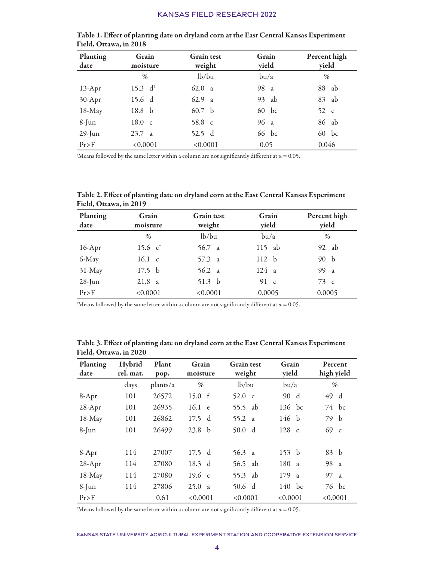| <b>Planting</b><br>date | Grain<br>moisture  | <b>Grain</b> test<br>weight | Grain<br>yield | Percent high<br>yield |
|-------------------------|--------------------|-----------------------------|----------------|-----------------------|
|                         | $\frac{0}{0}$      | lb/bu                       | bu/a           | $\%$                  |
| $13$ -Apr               | 15.3 $d^{\dagger}$ | 62.0 a                      | 98 a           | 88<br>ab              |
| $30-Apr$                | 15.6 d             | 62.9 a                      | 93 ab          | 83 ab                 |
| 18-May                  | 18.8 <sub>b</sub>  | 60.7 b                      | 60 bc          | $52\,c$               |
| $8$ -Jun                | 18.0 c             | 58.8 c                      | 96 a           | 86 ab                 |
| $29$ -Jun               | 23.7 a             | 52.5 d                      | 66 bc          | $60$ bc               |
| Pr > F                  | < 0.0001           | < 0.0001                    | 0.05           | 0.046                 |

Table 1. Effect of planting date on dryland corn at the East Central Kansas Experiment Field, Ottawa, in 2018

 $^\dagger$ Means followed by the same letter within a column are not significantly different at  $\alpha$  = 0.05.

| Table 2. Effect of planting date on dryland corn at the East Central Kansas Experiment |  |
|----------------------------------------------------------------------------------------|--|
| Field, Ottawa, in 2019                                                                 |  |

| Planting<br>date | Grain<br>moisture    | <b>Grain test</b><br>weight | Grain<br>yield | Percent high<br>yield |
|------------------|----------------------|-----------------------------|----------------|-----------------------|
|                  | $\frac{0}{0}$        | lb/bu                       | bu/a           | $\%$                  |
| $16$ -Apr        | 15.6 $c^{\dagger}$   | 56.7 a                      | $115$ ab       | 92 ab                 |
| 6-May            | 16.1 c               | 57.3 a                      | 112 h          | 90 b                  |
| $31$ -May        | 17.5 <sub>b</sub>    | 56.2 a                      | 124a           | 99 a                  |
| $28$ -Jun        | 21.8<br><sub>a</sub> | 51.3 $b$                    | 91 $\,$ c      | $73\degree$ c         |
| Pr > F           | < 0.0001             | < 0.0001                    | 0.0005         | 0.0005                |

 $^\dagger$ Means followed by the same letter within a column are not significantly different at  $\alpha$  = 0.05.

| <b>Planting</b><br>date | Hybrid<br>rel. mat. | Plant<br>pop. | Grain<br>moisture  | <b>Grain</b> test<br>weight | Grain<br>yield  | Percent<br>high yield |
|-------------------------|---------------------|---------------|--------------------|-----------------------------|-----------------|-----------------------|
|                         | days                | plants/a      | $\frac{0}{0}$      | lb/bu                       | bu/a            | $\%$                  |
| 8-Apr                   | 101                 | 26572         | 15.0 $f^{\dagger}$ | 52.0 $\,$ c                 | 90 d            | 49 d                  |
| $28-Apr$                | 101                 | 26935         | 16.1 e             | 55.5 ab                     | 136 bc          | 74 bc                 |
| 18-May                  | 101                 | 26862         | 17.5 d             | 55.2 a                      | 146 b           | 79 b                  |
| $8$ -Jun                | 101                 | 26499         | 23.8 <sub>b</sub>  | 50.0 d                      | $128 \text{ c}$ | 69 c                  |
|                         |                     |               |                    |                             |                 |                       |
| 8-Apr                   | 114                 | 27007         | $17.5$ d           | 56.3 a                      | 153 b           | 83 b                  |
| $28-Apr$                | 114                 | 27080         | 18.3 d             | 56.5 ab                     | 180a            | 98 a                  |
| 18-May                  | 114                 | 27080         | $19.6 \text{ c}$   | 55.3 ab                     | 179 a           | 97 a                  |
| $8$ -Jun                | 114                 | 27806         | 25.0 a             | 50.6 d                      | $140$ bc        | 76 bc                 |
| Pr > F                  |                     | 0.61          | < 0.0001           | < 0.0001                    | < 0.0001        | < 0.0001              |

Table 3. Effect of planting date on dryland corn at the East Central Kansas Experiment Field, Ottawa, in 2020

 $^\dagger$ Means followed by the same letter within a column are not significantly different at  $\alpha$  = 0.05.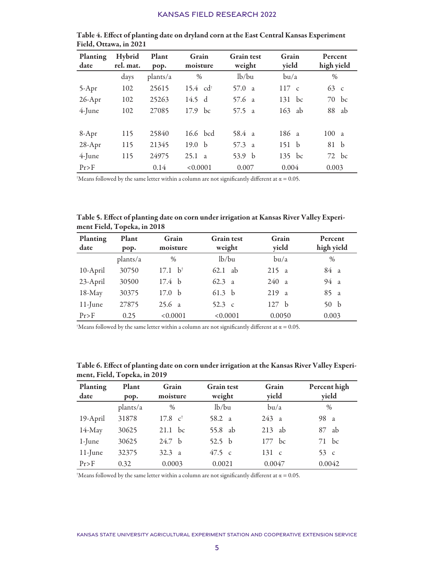| Planting<br>date | Hybrid<br>rel. mat. | Plant<br>pop. | Grain<br>moisture      | <b>Grain</b> test<br>weight | Grain<br>yield  | Percent<br>high yield |
|------------------|---------------------|---------------|------------------------|-----------------------------|-----------------|-----------------------|
|                  | days                | plants/a      | $\%$                   | lb/bu                       | bu/a            | $\frac{0}{0}$         |
| $5-Apr$          | 102                 | 25615         | $15.4$ cd <sup>+</sup> | 57.0<br>$\overline{a}$      | $117 \text{ c}$ | $63\degree$ c         |
| $26$ -Apr        | 102                 | 25263         | 14.5 d                 | $57.6 \text{ a}$            | 131<br>bc       | bc<br>70              |
| $4$ -June        | 102                 | 27085         | $17.9$ bc              | 57.5 a                      | 163<br>ab       | 88<br>ab              |
|                  |                     |               |                        |                             |                 |                       |
| $8-Apr$          | 115                 | 25840         | 16.6 bcd               | $58.4 \text{ a}$            | 186a            | 100a                  |
| $28-Apr$         | 115                 | 21345         | 19.0 <sub>b</sub>      | 57.3 a                      | 151 b           | 81 h                  |
| $4$ -June        | 115                 | 24975         | 25.1<br>$\overline{a}$ | $\mathbf b$<br>53.9         | 135 bc          | $72$ bc               |
| Pr > F           |                     | 0.14          | < 0.0001               | 0.007                       | 0.004           | 0.003                 |

Table 4. Effect of planting date on dryland corn at the East Central Kansas Experiment Field, Ottawa, in 2021

 $^\dagger$ Means followed by the same letter within a column are not significantly different at  $\alpha$  = 0.05.

| Table 5. Effect of planting date on corn under irrigation at Kansas River Valley Experi- |  |
|------------------------------------------------------------------------------------------|--|
| ment Field, Topeka, in 2018                                                              |  |

| <b>Planting</b><br>date | Plant<br>pop. | Grain<br>moisture  | <b>Grain</b> test<br>weight | Grain<br>yield | Percent<br>high yield |
|-------------------------|---------------|--------------------|-----------------------------|----------------|-----------------------|
|                         | plants/a      | $\frac{0}{0}$      | lb/bu                       | bu/a           | $\%$                  |
| 10-April                | 30750         | $17.1 b^{\dagger}$ | -ab<br>62.1                 | 215a           | 84 a                  |
| 23-April                | 30500         | 17.4 <sub>b</sub>  | 62.3<br>$\overline{a}$      | 240a           | 94a                   |
| 18-May                  | 30375         | - b<br>17.0        | 61.3 <sub>b</sub>           | 219a           | 85 a                  |
| $11$ -June              | 27875         | 25.6 a             | 52.3 c                      | 127 h          | 50 <sub>b</sub>       |
| Pr > F                  | 0.25          | < 0.0001           | < 0.0001                    | 0.0050         | 0.003                 |

 $^\dagger$ Means followed by the same letter within a column are not significantly different at  $\alpha$  = 0.05.

| <b>Planting</b><br>date | Plant<br>pop. | Grain<br>moisture           | <b>Grain test</b><br>Grain<br>yield<br>weight |                   | Percent high<br>yield |
|-------------------------|---------------|-----------------------------|-----------------------------------------------|-------------------|-----------------------|
|                         | plants/a      | $\frac{0}{0}$               | lb/bu                                         | bu/a              | $\frac{0}{0}$         |
| 19-April                | 31878         | $17.8 \text{ } c^{\dagger}$ | 58.2 a                                        | 243 a             | 98 a                  |
| 14-May                  | 30625         | $21.1$ bc                   | 55.8 ab                                       | $213$ ab          | ab<br>87              |
| $1$ -June               | 30625         | 24.7 <sub>b</sub>           | 52.5 $b$                                      | 177 bc            | $71$ bc               |
| $11$ -June              | 32375         | $32.3 \text{ a}$            | 47.5 c                                        | $131\phantom{.}c$ | 53 $\epsilon$         |
| Pr > F                  | 0.32          | 0.0003                      | 0.0021                                        | 0.0047            | 0.0042                |

Table 6. Effect of planting date on corn under irrigation at the Kansas River Valley Experiment, Field, Topeka, in 2019

 $^\dagger$ Means followed by the same letter within a column are not significantly different at  $\alpha$  = 0.05.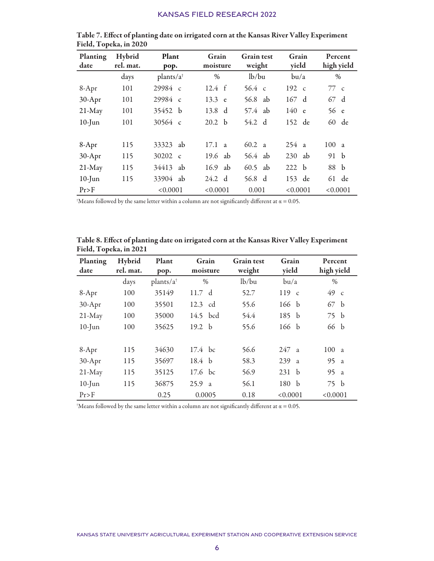| Planting<br>date | Hybrid<br>rel. mat. | Plant<br>pop.        | Grain<br>moisture      | <b>Grain</b> test<br>weight | Grain<br>yield | Percent<br>high yield |
|------------------|---------------------|----------------------|------------------------|-----------------------------|----------------|-----------------------|
|                  | days                | $plants/a^{\dagger}$ | $\frac{0}{0}$          | lb/bu                       | bu/a           | $\frac{0}{0}$         |
| $8-Apr$          | 101                 | 29984 c              | $12.4 \text{ } f$      | $56.4 \text{ c}$            | 192 c          | 77c                   |
| $30-Apr$         | 101                 | 29984 c              | 13.3 e                 | 56.8 ab                     | 167 d          | 67 d                  |
| $21$ -May        | 101                 | 35452 b              | 13.8<br>d              | 57.4 ab                     | 140 e          | 56 e                  |
| $10$ -Jun        | 101                 | $30564 \text{ c}$    | - b<br>20.2            | 54.2 d                      | 152 de         | 60 de                 |
|                  |                     |                      |                        |                             |                |                       |
| $8-Apr$          | 115                 | 33323<br>ab          | 17.1<br>$\overline{a}$ | 60.2 a                      | 254a           | 100a                  |
| $30-Apr$         | 115                 | 30202 c              | 19.6<br>ab             | $56.4$ ab                   | $230$ ab       | 91 b                  |
| $21$ -May        | 115                 | 34413<br>ab          | 16.9<br>ab             | $60.5$ ab                   | 222 h          | 88 b                  |
| $10$ -Jun        | 115                 | 33904<br>ab          | 24.2<br>$\mathbf{d}$   | 56.8 d                      | 153 de         | 61 de                 |
| Pr > F           |                     | < 0.0001             | < 0.0001               | 0.001                       | < 0.0001       | < 0.0001              |

Table 7. Effect of planting date on irrigated corn at the Kansas River Valley Experiment Field, Topeka, in 2020

 $^\dagger$ Means followed by the same letter within a column are not significantly different at  $\alpha$  = 0.05.

|                        | Table 8. Effect of planting date on irrigated corn at the Kansas River Valley Experiment |  |  |  |
|------------------------|------------------------------------------------------------------------------------------|--|--|--|
| Field, Topeka, in 2021 |                                                                                          |  |  |  |

| <b>Planting</b><br>date | Hybrid<br>rel. mat. | Plant<br>pop.        | Grain<br>moisture    | <b>Grain</b> test<br>weight | Grain<br>yield      | Percent<br>high yield |
|-------------------------|---------------------|----------------------|----------------------|-----------------------------|---------------------|-----------------------|
|                         | days                | $plants/a^{\dagger}$ | $\%$                 | lb/bu                       | bu/a                | $\%$                  |
| $8-Apr$                 | 100                 | 35149                | 11.7 d               | 52.7                        | $119 \text{ c}$     | 49 c                  |
| $30-Apr$                | 100                 | 35501                | 12.3 cd              | 55.6                        | 166 b               | 67 b                  |
| $21$ -May               | 100                 | 35000                | $14.5$ bcd           | 54.4                        | 185 b               | 75 b                  |
| $10$ -Jun               | 100                 | 35625                | 19.2 $h$             | 55.6                        | 166 b               | 66 b                  |
|                         |                     |                      |                      |                             |                     |                       |
| $8-Apr$                 | 115                 | 34630                | $17.4 \text{ bc}$    | 56.6                        | 247a                | 100a                  |
| $30-Apr$                | 115                 | 35697                | 18.4 b               | 58.3                        | 239<br><sub>a</sub> | 95 a                  |
| $21$ -May               | 115                 | 35125                | $17.6$ bc            | 56.9                        | 231 b               | 95 a                  |
| $10$ -Jun               | 115                 | 36875                | 25.9<br><sub>a</sub> | 56.1                        | 180 b               | 75 b                  |
| Pr > F                  |                     | 0.25                 | 0.0005               | 0.18                        | < 0.0001            | < 0.0001              |

 $^\dagger$ Means followed by the same letter within a column are not significantly different at  $\alpha$  = 0.05.